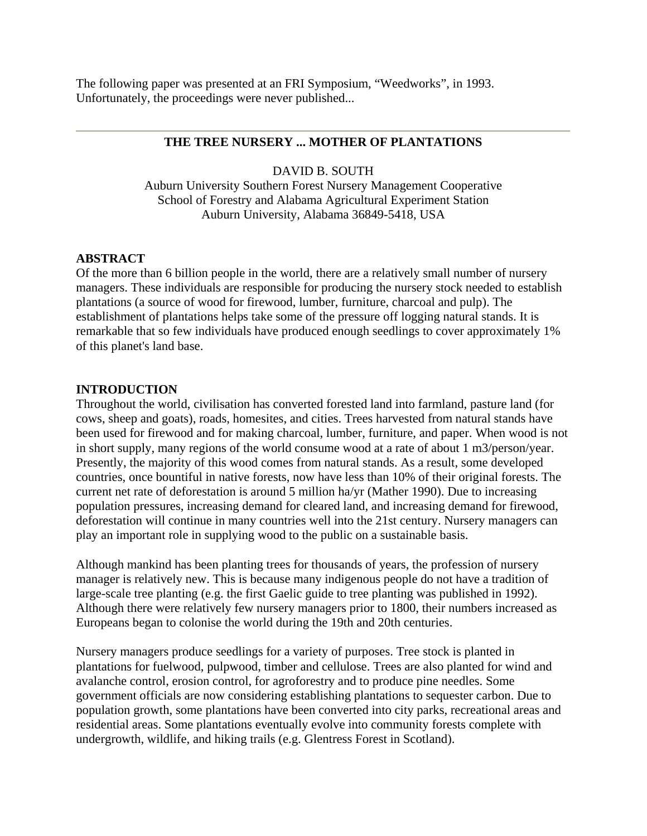The following paper was presented at an FRI Symposium, "Weedworks", in 1993. Unfortunately, the proceedings were never published...

# **THE TREE NURSERY ... MOTHER OF PLANTATIONS**

## DAVID B. SOUTH

Auburn University Southern Forest Nursery Management Cooperative School of Forestry and Alabama Agricultural Experiment Station Auburn University, Alabama 36849-5418, USA

## **ABSTRACT**

Of the more than 6 billion people in the world, there are a relatively small number of nursery managers. These individuals are responsible for producing the nursery stock needed to establish plantations (a source of wood for firewood, lumber, furniture, charcoal and pulp). The establishment of plantations helps take some of the pressure off logging natural stands. It is remarkable that so few individuals have produced enough seedlings to cover approximately 1% of this planet's land base.

#### **INTRODUCTION**

Throughout the world, civilisation has converted forested land into farmland, pasture land (for cows, sheep and goats), roads, homesites, and cities. Trees harvested from natural stands have been used for firewood and for making charcoal, lumber, furniture, and paper. When wood is not in short supply, many regions of the world consume wood at a rate of about 1 m3/person/year. Presently, the majority of this wood comes from natural stands. As a result, some developed countries, once bountiful in native forests, now have less than 10% of their original forests. The current net rate of deforestation is around 5 million ha/yr (Mather 1990). Due to increasing population pressures, increasing demand for cleared land, and increasing demand for firewood, deforestation will continue in many countries well into the 21st century. Nursery managers can play an important role in supplying wood to the public on a sustainable basis.

Although mankind has been planting trees for thousands of years, the profession of nursery manager is relatively new. This is because many indigenous people do not have a tradition of large-scale tree planting (e.g. the first Gaelic guide to tree planting was published in 1992). Although there were relatively few nursery managers prior to 1800, their numbers increased as Europeans began to colonise the world during the 19th and 20th centuries.

Nursery managers produce seedlings for a variety of purposes. Tree stock is planted in plantations for fuelwood, pulpwood, timber and cellulose. Trees are also planted for wind and avalanche control, erosion control, for agroforestry and to produce pine needles. Some government officials are now considering establishing plantations to sequester carbon. Due to population growth, some plantations have been converted into city parks, recreational areas and residential areas. Some plantations eventually evolve into community forests complete with undergrowth, wildlife, and hiking trails (e.g. Glentress Forest in Scotland).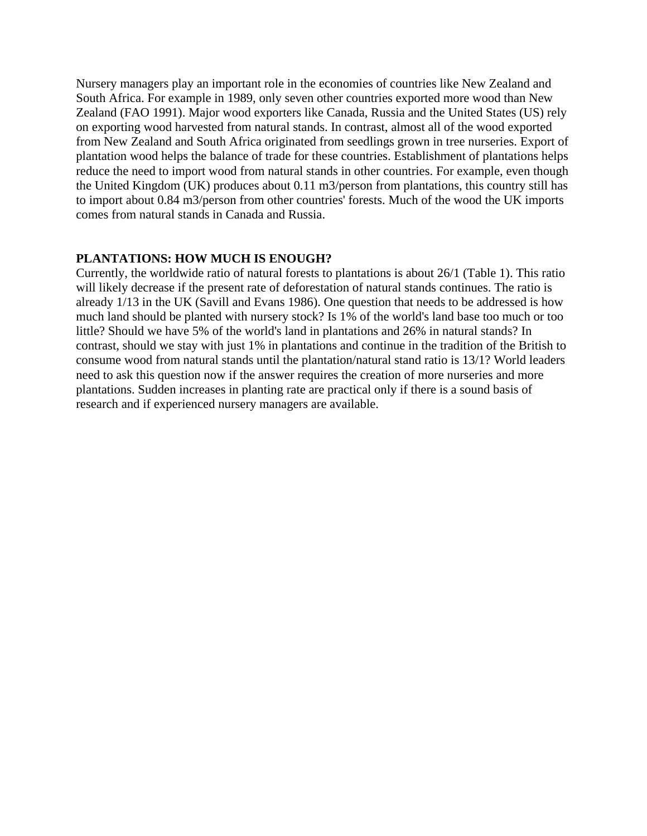Nursery managers play an important role in the economies of countries like New Zealand and South Africa. For example in 1989, only seven other countries exported more wood than New Zealand (FAO 1991). Major wood exporters like Canada, Russia and the United States (US) rely on exporting wood harvested from natural stands. In contrast, almost all of the wood exported from New Zealand and South Africa originated from seedlings grown in tree nurseries. Export of plantation wood helps the balance of trade for these countries. Establishment of plantations helps reduce the need to import wood from natural stands in other countries. For example, even though the United Kingdom (UK) produces about 0.11 m3/person from plantations, this country still has to import about 0.84 m3/person from other countries' forests. Much of the wood the UK imports comes from natural stands in Canada and Russia.

### **PLANTATIONS: HOW MUCH IS ENOUGH?**

Currently, the worldwide ratio of natural forests to plantations is about 26/1 (Table 1). This ratio will likely decrease if the present rate of deforestation of natural stands continues. The ratio is already 1/13 in the UK (Savill and Evans 1986). One question that needs to be addressed is how much land should be planted with nursery stock? Is 1% of the world's land base too much or too little? Should we have 5% of the world's land in plantations and 26% in natural stands? In contrast, should we stay with just 1% in plantations and continue in the tradition of the British to consume wood from natural stands until the plantation/natural stand ratio is 13/1? World leaders need to ask this question now if the answer requires the creation of more nurseries and more plantations. Sudden increases in planting rate are practical only if there is a sound basis of research and if experienced nursery managers are available.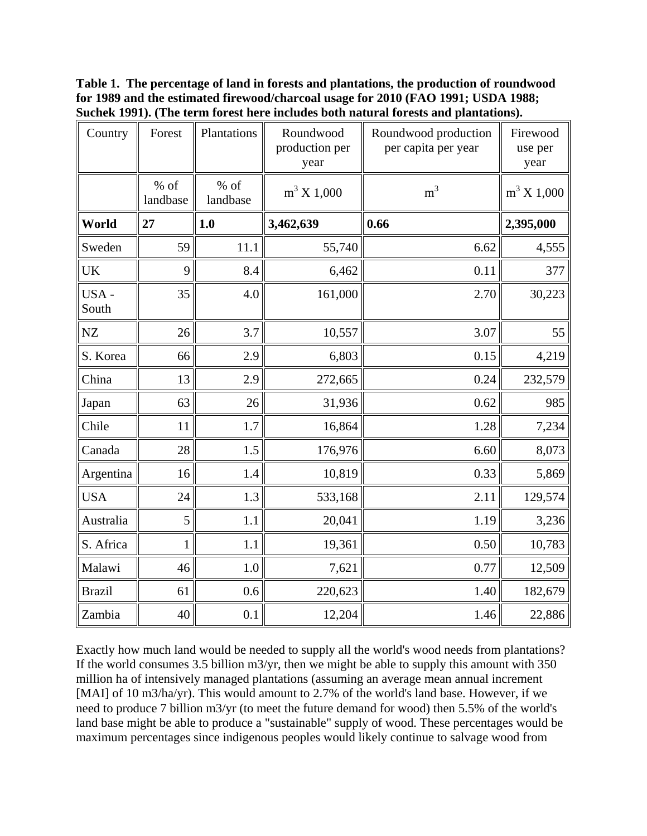**Table 1. The percentage of land in forests and plantations, the production of roundwood for 1989 and the estimated firewood/charcoal usage for 2010 (FAO 1991; USDA 1988; Suchek 1991). (The term forest here includes both natural forests and plantations).** 

| Country       | Forest             | Plantations        | Roundwood<br>production per<br>year | Roundwood production<br>per capita per year | Firewood<br>use per<br>year |
|---------------|--------------------|--------------------|-------------------------------------|---------------------------------------------|-----------------------------|
|               | $%$ of<br>landbase | $%$ of<br>landbase | $m^3 X 1,000$                       | m <sup>3</sup>                              | $m^3 X 1,000$               |
| World         | 27                 | 1.0                | 3,462,639                           | 0.66                                        | 2,395,000                   |
| Sweden        | 59                 | 11.1               | 55,740                              | 6.62                                        | 4,555                       |
| UK            | 9                  | 8.4                | 6,462                               | 0.11                                        | 377                         |
| USA-<br>South | 35                 | 4.0                | 161,000                             | 2.70                                        | 30,223                      |
| ${\rm NZ}$    | 26                 | 3.7                | 10,557                              | 3.07                                        | 55                          |
| S. Korea      | 66                 | 2.9                | 6,803                               | 0.15                                        | 4,219                       |
| China         | 13                 | 2.9                | 272,665                             | 0.24                                        | 232,579                     |
| Japan         | 63                 | 26                 | 31,936                              | 0.62                                        | 985                         |
| Chile         | 11                 | 1.7                | 16,864                              | 1.28                                        | 7,234                       |
| Canada        | 28                 | 1.5                | 176,976                             | 6.60                                        | 8,073                       |
| Argentina     | 16                 | 1.4                | 10,819                              | 0.33                                        | 5,869                       |
| <b>USA</b>    | 24                 | 1.3                | 533,168                             | 2.11                                        | 129,574                     |
| Australia     | 5                  | 1.1                | 20,041                              | 1.19                                        | 3,236                       |
| S. Africa     | 1                  | 1.1                | 19,361                              | 0.50                                        | 10,783                      |
| Malawi        | 46                 | 1.0                | 7,621                               | 0.77                                        | 12,509                      |
| <b>Brazil</b> | 61                 | 0.6                | 220,623                             | 1.40                                        | 182,679                     |
| Zambia        | 40                 | 0.1                | 12,204                              | 1.46                                        | 22,886                      |

Exactly how much land would be needed to supply all the world's wood needs from plantations? If the world consumes 3.5 billion m3/yr, then we might be able to supply this amount with 350 million ha of intensively managed plantations (assuming an average mean annual increment [MAI] of 10 m3/ha/yr). This would amount to 2.7% of the world's land base. However, if we need to produce 7 billion m3/yr (to meet the future demand for wood) then 5.5% of the world's land base might be able to produce a "sustainable" supply of wood. These percentages would be maximum percentages since indigenous peoples would likely continue to salvage wood from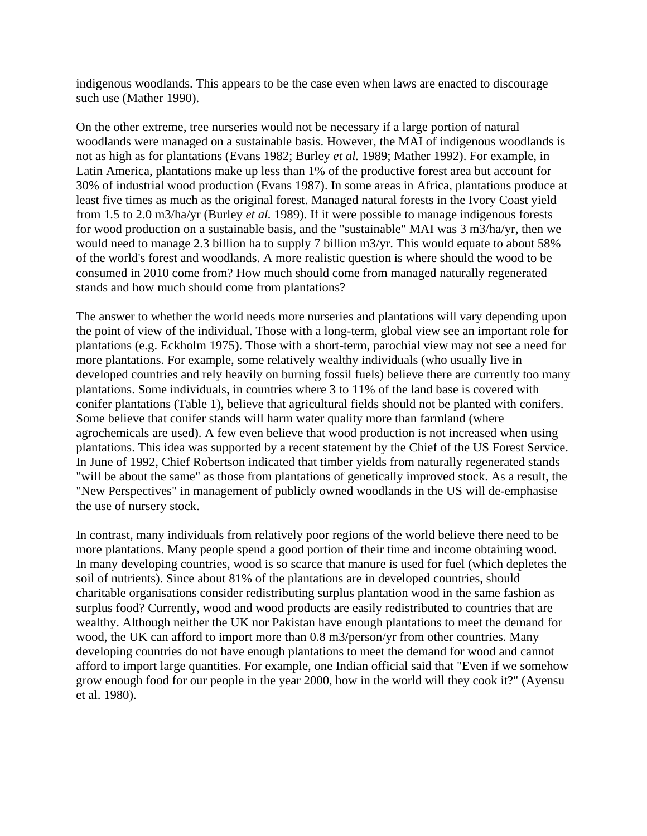indigenous woodlands. This appears to be the case even when laws are enacted to discourage such use (Mather 1990).

On the other extreme, tree nurseries would not be necessary if a large portion of natural woodlands were managed on a sustainable basis. However, the MAI of indigenous woodlands is not as high as for plantations (Evans 1982; Burley *et al.* 1989; Mather 1992). For example, in Latin America, plantations make up less than 1% of the productive forest area but account for 30% of industrial wood production (Evans 1987). In some areas in Africa, plantations produce at least five times as much as the original forest. Managed natural forests in the Ivory Coast yield from 1.5 to 2.0 m3/ha/yr (Burley *et al.* 1989). If it were possible to manage indigenous forests for wood production on a sustainable basis, and the "sustainable" MAI was 3 m3/ha/yr, then we would need to manage 2.3 billion ha to supply 7 billion m3/yr. This would equate to about 58% of the world's forest and woodlands. A more realistic question is where should the wood to be consumed in 2010 come from? How much should come from managed naturally regenerated stands and how much should come from plantations?

The answer to whether the world needs more nurseries and plantations will vary depending upon the point of view of the individual. Those with a long-term, global view see an important role for plantations (e.g. Eckholm 1975). Those with a short-term, parochial view may not see a need for more plantations. For example, some relatively wealthy individuals (who usually live in developed countries and rely heavily on burning fossil fuels) believe there are currently too many plantations. Some individuals, in countries where 3 to 11% of the land base is covered with conifer plantations (Table 1), believe that agricultural fields should not be planted with conifers. Some believe that conifer stands will harm water quality more than farmland (where agrochemicals are used). A few even believe that wood production is not increased when using plantations. This idea was supported by a recent statement by the Chief of the US Forest Service. In June of 1992, Chief Robertson indicated that timber yields from naturally regenerated stands "will be about the same" as those from plantations of genetically improved stock. As a result, the "New Perspectives" in management of publicly owned woodlands in the US will de-emphasise the use of nursery stock.

In contrast, many individuals from relatively poor regions of the world believe there need to be more plantations. Many people spend a good portion of their time and income obtaining wood. In many developing countries, wood is so scarce that manure is used for fuel (which depletes the soil of nutrients). Since about 81% of the plantations are in developed countries, should charitable organisations consider redistributing surplus plantation wood in the same fashion as surplus food? Currently, wood and wood products are easily redistributed to countries that are wealthy. Although neither the UK nor Pakistan have enough plantations to meet the demand for wood, the UK can afford to import more than 0.8 m3/person/yr from other countries. Many developing countries do not have enough plantations to meet the demand for wood and cannot afford to import large quantities. For example, one Indian official said that "Even if we somehow grow enough food for our people in the year 2000, how in the world will they cook it?" (Ayensu et al. 1980).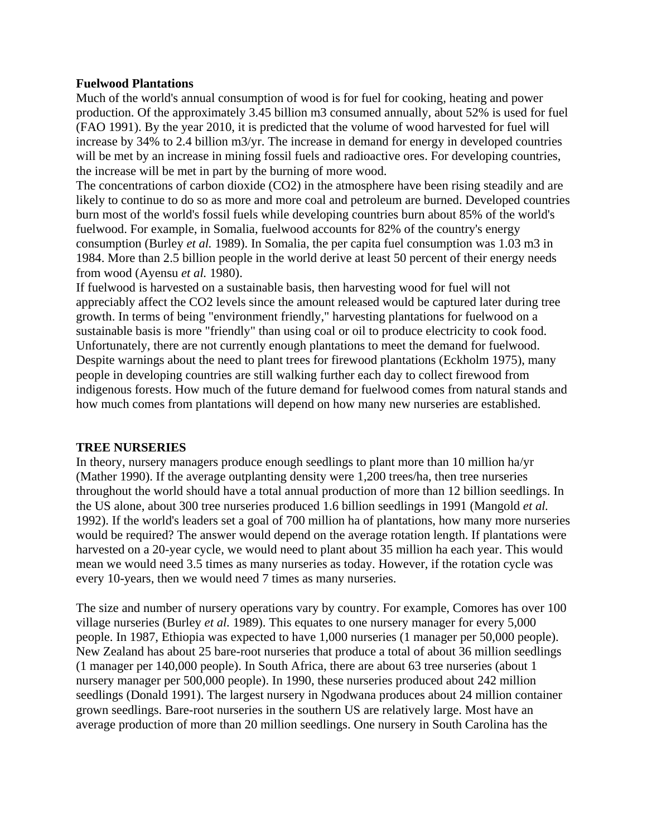## **Fuelwood Plantations**

Much of the world's annual consumption of wood is for fuel for cooking, heating and power production. Of the approximately 3.45 billion m3 consumed annually, about 52% is used for fuel (FAO 1991). By the year 2010, it is predicted that the volume of wood harvested for fuel will increase by 34% to 2.4 billion m3/yr. The increase in demand for energy in developed countries will be met by an increase in mining fossil fuels and radioactive ores. For developing countries, the increase will be met in part by the burning of more wood.

The concentrations of carbon dioxide (CO2) in the atmosphere have been rising steadily and are likely to continue to do so as more and more coal and petroleum are burned. Developed countries burn most of the world's fossil fuels while developing countries burn about 85% of the world's fuelwood. For example, in Somalia, fuelwood accounts for 82% of the country's energy consumption (Burley *et al.* 1989). In Somalia, the per capita fuel consumption was 1.03 m3 in 1984. More than 2.5 billion people in the world derive at least 50 percent of their energy needs from wood (Ayensu *et al.* 1980).

If fuelwood is harvested on a sustainable basis, then harvesting wood for fuel will not appreciably affect the CO2 levels since the amount released would be captured later during tree growth. In terms of being "environment friendly," harvesting plantations for fuelwood on a sustainable basis is more "friendly" than using coal or oil to produce electricity to cook food. Unfortunately, there are not currently enough plantations to meet the demand for fuelwood. Despite warnings about the need to plant trees for firewood plantations (Eckholm 1975), many people in developing countries are still walking further each day to collect firewood from indigenous forests. How much of the future demand for fuelwood comes from natural stands and how much comes from plantations will depend on how many new nurseries are established.

## **TREE NURSERIES**

In theory, nursery managers produce enough seedlings to plant more than 10 million ha/yr (Mather 1990). If the average outplanting density were 1,200 trees/ha, then tree nurseries throughout the world should have a total annual production of more than 12 billion seedlings. In the US alone, about 300 tree nurseries produced 1.6 billion seedlings in 1991 (Mangold *et al.* 1992). If the world's leaders set a goal of 700 million ha of plantations, how many more nurseries would be required? The answer would depend on the average rotation length. If plantations were harvested on a 20-year cycle, we would need to plant about 35 million ha each year. This would mean we would need 3.5 times as many nurseries as today. However, if the rotation cycle was every 10-years, then we would need 7 times as many nurseries.

The size and number of nursery operations vary by country. For example, Comores has over 100 village nurseries (Burley *et al.* 1989). This equates to one nursery manager for every 5,000 people. In 1987, Ethiopia was expected to have 1,000 nurseries (1 manager per 50,000 people). New Zealand has about 25 bare-root nurseries that produce a total of about 36 million seedlings (1 manager per 140,000 people). In South Africa, there are about 63 tree nurseries (about 1 nursery manager per 500,000 people). In 1990, these nurseries produced about 242 million seedlings (Donald 1991). The largest nursery in Ngodwana produces about 24 million container grown seedlings. Bare-root nurseries in the southern US are relatively large. Most have an average production of more than 20 million seedlings. One nursery in South Carolina has the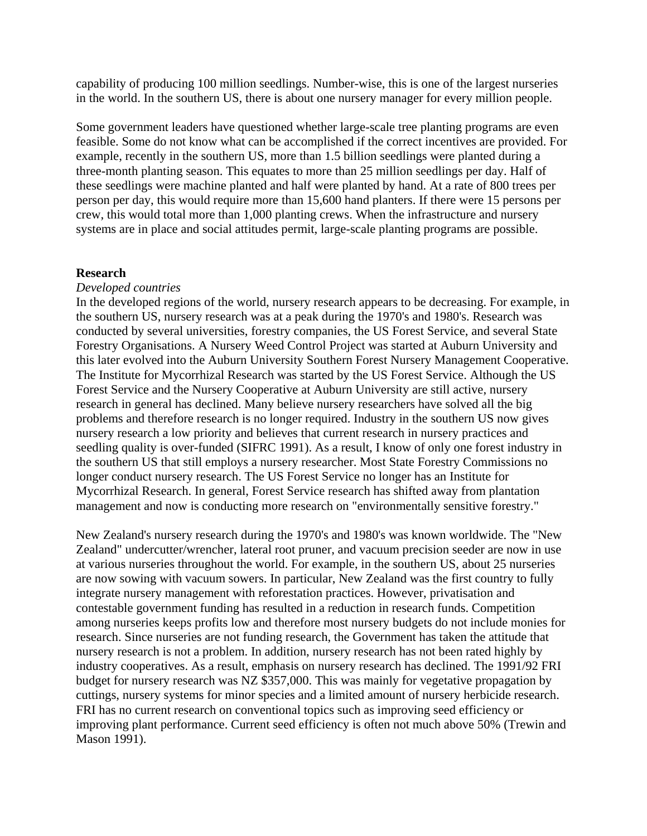capability of producing 100 million seedlings. Number-wise, this is one of the largest nurseries in the world. In the southern US, there is about one nursery manager for every million people.

Some government leaders have questioned whether large-scale tree planting programs are even feasible. Some do not know what can be accomplished if the correct incentives are provided. For example, recently in the southern US, more than 1.5 billion seedlings were planted during a three-month planting season. This equates to more than 25 million seedlings per day. Half of these seedlings were machine planted and half were planted by hand. At a rate of 800 trees per person per day, this would require more than 15,600 hand planters. If there were 15 persons per crew, this would total more than 1,000 planting crews. When the infrastructure and nursery systems are in place and social attitudes permit, large-scale planting programs are possible.

#### **Research**

#### *Developed countries*

In the developed regions of the world, nursery research appears to be decreasing. For example, in the southern US, nursery research was at a peak during the 1970's and 1980's. Research was conducted by several universities, forestry companies, the US Forest Service, and several State Forestry Organisations. A Nursery Weed Control Project was started at Auburn University and this later evolved into the Auburn University Southern Forest Nursery Management Cooperative. The Institute for Mycorrhizal Research was started by the US Forest Service. Although the US Forest Service and the Nursery Cooperative at Auburn University are still active, nursery research in general has declined. Many believe nursery researchers have solved all the big problems and therefore research is no longer required. Industry in the southern US now gives nursery research a low priority and believes that current research in nursery practices and seedling quality is over-funded (SIFRC 1991). As a result, I know of only one forest industry in the southern US that still employs a nursery researcher. Most State Forestry Commissions no longer conduct nursery research. The US Forest Service no longer has an Institute for Mycorrhizal Research. In general, Forest Service research has shifted away from plantation management and now is conducting more research on "environmentally sensitive forestry."

New Zealand's nursery research during the 1970's and 1980's was known worldwide. The "New Zealand" undercutter/wrencher, lateral root pruner, and vacuum precision seeder are now in use at various nurseries throughout the world. For example, in the southern US, about 25 nurseries are now sowing with vacuum sowers. In particular, New Zealand was the first country to fully integrate nursery management with reforestation practices. However, privatisation and contestable government funding has resulted in a reduction in research funds. Competition among nurseries keeps profits low and therefore most nursery budgets do not include monies for research. Since nurseries are not funding research, the Government has taken the attitude that nursery research is not a problem. In addition, nursery research has not been rated highly by industry cooperatives. As a result, emphasis on nursery research has declined. The 1991/92 FRI budget for nursery research was NZ \$357,000. This was mainly for vegetative propagation by cuttings, nursery systems for minor species and a limited amount of nursery herbicide research. FRI has no current research on conventional topics such as improving seed efficiency or improving plant performance. Current seed efficiency is often not much above 50% (Trewin and Mason 1991).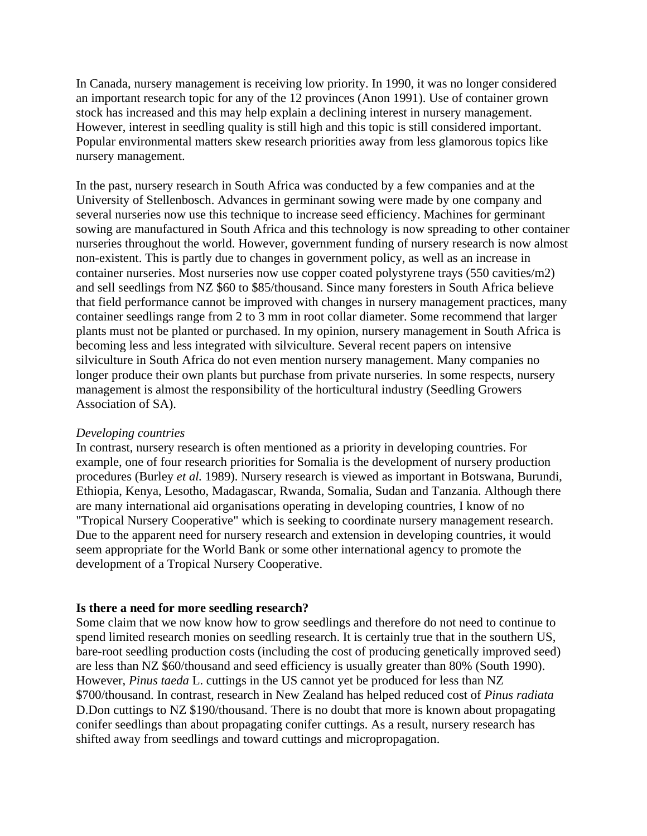In Canada, nursery management is receiving low priority. In 1990, it was no longer considered an important research topic for any of the 12 provinces (Anon 1991). Use of container grown stock has increased and this may help explain a declining interest in nursery management. However, interest in seedling quality is still high and this topic is still considered important. Popular environmental matters skew research priorities away from less glamorous topics like nursery management.

In the past, nursery research in South Africa was conducted by a few companies and at the University of Stellenbosch. Advances in germinant sowing were made by one company and several nurseries now use this technique to increase seed efficiency. Machines for germinant sowing are manufactured in South Africa and this technology is now spreading to other container nurseries throughout the world. However, government funding of nursery research is now almost non-existent. This is partly due to changes in government policy, as well as an increase in container nurseries. Most nurseries now use copper coated polystyrene trays (550 cavities/m2) and sell seedlings from NZ \$60 to \$85/thousand. Since many foresters in South Africa believe that field performance cannot be improved with changes in nursery management practices, many container seedlings range from 2 to 3 mm in root collar diameter. Some recommend that larger plants must not be planted or purchased. In my opinion, nursery management in South Africa is becoming less and less integrated with silviculture. Several recent papers on intensive silviculture in South Africa do not even mention nursery management. Many companies no longer produce their own plants but purchase from private nurseries. In some respects, nursery management is almost the responsibility of the horticultural industry (Seedling Growers Association of SA).

#### *Developing countries*

In contrast, nursery research is often mentioned as a priority in developing countries. For example, one of four research priorities for Somalia is the development of nursery production procedures (Burley *et al.* 1989). Nursery research is viewed as important in Botswana, Burundi, Ethiopia, Kenya, Lesotho, Madagascar, Rwanda, Somalia, Sudan and Tanzania. Although there are many international aid organisations operating in developing countries, I know of no "Tropical Nursery Cooperative" which is seeking to coordinate nursery management research. Due to the apparent need for nursery research and extension in developing countries, it would seem appropriate for the World Bank or some other international agency to promote the development of a Tropical Nursery Cooperative.

#### **Is there a need for more seedling research?**

Some claim that we now know how to grow seedlings and therefore do not need to continue to spend limited research monies on seedling research. It is certainly true that in the southern US, bare-root seedling production costs (including the cost of producing genetically improved seed) are less than NZ \$60/thousand and seed efficiency is usually greater than 80% (South 1990). However, *Pinus taeda* L. cuttings in the US cannot yet be produced for less than NZ \$700/thousand. In contrast, research in New Zealand has helped reduced cost of *Pinus radiata*  D.Don cuttings to NZ \$190/thousand. There is no doubt that more is known about propagating conifer seedlings than about propagating conifer cuttings. As a result, nursery research has shifted away from seedlings and toward cuttings and micropropagation.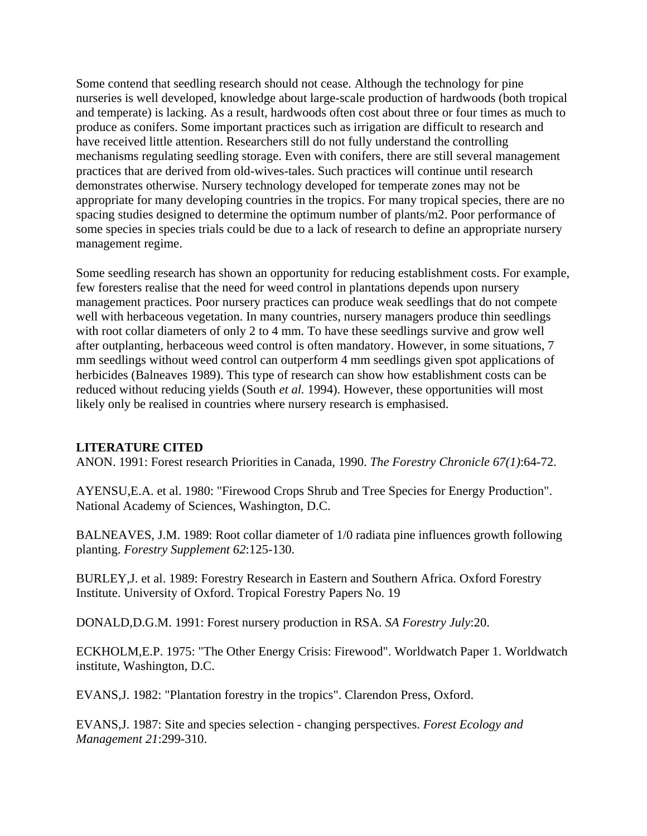Some contend that seedling research should not cease. Although the technology for pine nurseries is well developed, knowledge about large-scale production of hardwoods (both tropical and temperate) is lacking. As a result, hardwoods often cost about three or four times as much to produce as conifers. Some important practices such as irrigation are difficult to research and have received little attention. Researchers still do not fully understand the controlling mechanisms regulating seedling storage. Even with conifers, there are still several management practices that are derived from old-wives-tales. Such practices will continue until research demonstrates otherwise. Nursery technology developed for temperate zones may not be appropriate for many developing countries in the tropics. For many tropical species, there are no spacing studies designed to determine the optimum number of plants/m2. Poor performance of some species in species trials could be due to a lack of research to define an appropriate nursery management regime.

Some seedling research has shown an opportunity for reducing establishment costs. For example, few foresters realise that the need for weed control in plantations depends upon nursery management practices. Poor nursery practices can produce weak seedlings that do not compete well with herbaceous vegetation. In many countries, nursery managers produce thin seedlings with root collar diameters of only 2 to 4 mm. To have these seedlings survive and grow well after outplanting, herbaceous weed control is often mandatory. However, in some situations, 7 mm seedlings without weed control can outperform 4 mm seedlings given spot applications of herbicides (Balneaves 1989). This type of research can show how establishment costs can be reduced without reducing yields (South *et al.* 1994). However, these opportunities will most likely only be realised in countries where nursery research is emphasised.

## **LITERATURE CITED**

ANON. 1991: Forest research Priorities in Canada, 1990. *The Forestry Chronicle 67(1)*:64-72.

AYENSU,E.A. et al. 1980: "Firewood Crops Shrub and Tree Species for Energy Production". National Academy of Sciences, Washington, D.C.

BALNEAVES, J.M. 1989: Root collar diameter of 1/0 radiata pine influences growth following planting. *Forestry Supplement 62*:125-130.

BURLEY,J. et al. 1989: Forestry Research in Eastern and Southern Africa. Oxford Forestry Institute. University of Oxford. Tropical Forestry Papers No. 19

DONALD,D.G.M. 1991: Forest nursery production in RSA. *SA Forestry July*:20.

ECKHOLM,E.P. 1975: "The Other Energy Crisis: Firewood". Worldwatch Paper 1. Worldwatch institute, Washington, D.C.

EVANS,J. 1982: "Plantation forestry in the tropics". Clarendon Press, Oxford.

EVANS,J. 1987: Site and species selection - changing perspectives. *Forest Ecology and Management 21*:299-310.